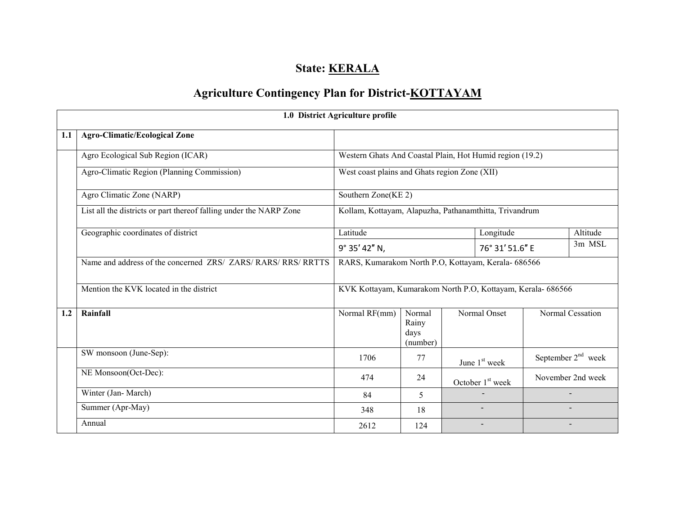## State: **KERALA**

# Agriculture Contingency Plan for District-KOTTAYAM

|     | 1.0 District Agriculture profile                                   |                                                             |                                     |  |                    |                      |                   |  |  |
|-----|--------------------------------------------------------------------|-------------------------------------------------------------|-------------------------------------|--|--------------------|----------------------|-------------------|--|--|
| 1.1 | <b>Agro-Climatic/Ecological Zone</b>                               |                                                             |                                     |  |                    |                      |                   |  |  |
|     | Agro Ecological Sub Region (ICAR)                                  | Western Ghats And Coastal Plain, Hot Humid region (19.2)    |                                     |  |                    |                      |                   |  |  |
|     | Agro-Climatic Region (Planning Commission)                         | West coast plains and Ghats region Zone (XII)               |                                     |  |                    |                      |                   |  |  |
|     | Agro Climatic Zone (NARP)                                          | Southern Zone(KE 2)                                         |                                     |  |                    |                      |                   |  |  |
|     | List all the districts or part thereof falling under the NARP Zone | Kollam, Kottayam, Alapuzha, Pathanamthitta, Trivandrum      |                                     |  |                    |                      |                   |  |  |
|     | Geographic coordinates of district                                 | Latitude                                                    |                                     |  | Longitude          |                      | Altitude          |  |  |
|     |                                                                    | 9° 35' 42" N,                                               |                                     |  | 76° 31' 51.6" E    |                      | 3m MSL            |  |  |
|     | Name and address of the concerned ZRS/ ZARS/ RARS/ RRS/ RRTTS      | RARS, Kumarakom North P.O., Kottayam, Kerala- 686566        |                                     |  |                    |                      |                   |  |  |
|     | Mention the KVK located in the district                            | KVK Kottayam, Kumarakom North P.O, Kottayam, Kerala- 686566 |                                     |  |                    |                      |                   |  |  |
| 1.2 | Rainfall                                                           | Normal RF(mm)                                               | Normal<br>Rainy<br>days<br>(number) |  | Normal Onset       |                      | Normal Cessation  |  |  |
|     | SW monsoon (June-Sep):                                             | 1706                                                        | 77                                  |  | June $1st$ week    | September $2nd$ week |                   |  |  |
|     | NE Monsoon(Oct-Dec):                                               | 474                                                         | 24                                  |  | October $1st$ week |                      | November 2nd week |  |  |
|     | Winter (Jan-March)                                                 | 84                                                          | 5                                   |  |                    |                      |                   |  |  |
|     | Summer (Apr-May)                                                   | 348                                                         | 18                                  |  |                    |                      |                   |  |  |
|     | Annual                                                             | 2612                                                        | 124                                 |  |                    |                      |                   |  |  |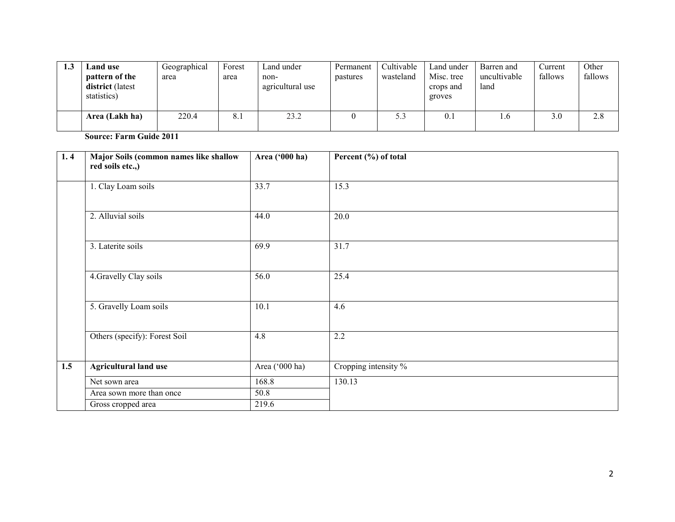| 1.3 | Land use<br>pattern of the<br><b>district</b> (latest | Geographical<br>area | Forest<br>area | Land under<br>non-<br>agricultural use | Permanent<br>pastures | Cultivable<br>wasteland | Land under<br>Misc. tree<br>crops and | Barren and<br>uncultivable<br>land | Current<br>fallows | Other<br>fallows |
|-----|-------------------------------------------------------|----------------------|----------------|----------------------------------------|-----------------------|-------------------------|---------------------------------------|------------------------------------|--------------------|------------------|
|     | statistics)<br>Area (Lakh ha)                         | 220.4                | 8.1            | 23.2                                   |                       | 5.3                     | groves<br>0.1                         | 1.0                                | 3.0                | 2.8              |

Source: Farm Guide 2011

| 1.4 | Major Soils (common names like shallow<br>red soils etc.,) | Area ('000 ha) | Percent (%) of total |
|-----|------------------------------------------------------------|----------------|----------------------|
|     | 1. Clay Loam soils                                         | 33.7           | 15.3                 |
|     | 2. Alluvial soils                                          | 44.0           | 20.0                 |
|     | 3. Laterite soils                                          | 69.9           | 31.7                 |
|     | 4. Gravelly Clay soils                                     | 56.0           | 25.4                 |
|     | 5. Gravelly Loam soils                                     | 10.1           | 4.6                  |
|     | Others (specify): Forest Soil                              | 4.8            | 2.2                  |
| 1.5 | <b>Agricultural land use</b>                               | Area ('000 ha) | Cropping intensity % |
|     | Net sown area                                              | 168.8          | 130.13               |
|     | Area sown more than once                                   | 50.8           |                      |
|     | Gross cropped area                                         | 219.6          |                      |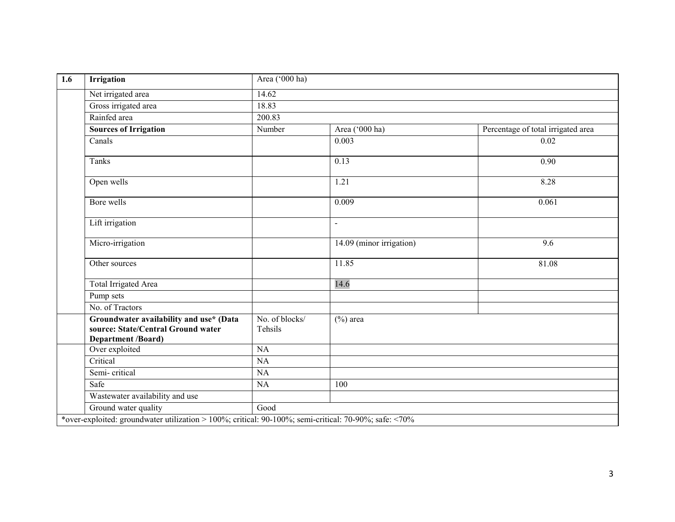| $\overline{1.6}$ | <b>Irrigation</b>                                                                                   | Area ('000 ha)            |                          |                                    |  |  |
|------------------|-----------------------------------------------------------------------------------------------------|---------------------------|--------------------------|------------------------------------|--|--|
|                  | Net irrigated area                                                                                  | 14.62                     |                          |                                    |  |  |
|                  | Gross irrigated area                                                                                | 18.83                     |                          |                                    |  |  |
|                  | Rainfed area                                                                                        | 200.83                    |                          |                                    |  |  |
|                  | <b>Sources of Irrigation</b>                                                                        | Number                    | Area ('000 ha)           | Percentage of total irrigated area |  |  |
|                  | Canals                                                                                              |                           | 0.003                    | 0.02                               |  |  |
|                  | Tanks                                                                                               |                           | 0.13                     | 0.90                               |  |  |
|                  | Open wells                                                                                          |                           | 1.21                     | 8.28                               |  |  |
|                  | Bore wells                                                                                          |                           | 0.009                    | 0.061                              |  |  |
|                  | Lift irrigation                                                                                     |                           | $\overline{\phantom{a}}$ |                                    |  |  |
|                  | Micro-irrigation                                                                                    |                           | 14.09 (minor irrigation) | 9.6                                |  |  |
|                  | Other sources                                                                                       |                           | 11.85                    | 81.08                              |  |  |
|                  | <b>Total Irrigated Area</b>                                                                         |                           | 14.6                     |                                    |  |  |
|                  | Pump sets                                                                                           |                           |                          |                                    |  |  |
|                  | No. of Tractors                                                                                     |                           |                          |                                    |  |  |
|                  | Groundwater availability and use* (Data<br>source: State/Central Ground water<br>Department /Board) | No. of blocks/<br>Tehsils | $(\%)$ area              |                                    |  |  |
|                  | Over exploited                                                                                      | $\overline{NA}$           |                          |                                    |  |  |
|                  | Critical                                                                                            | NA                        |                          |                                    |  |  |
|                  | Semi-critical                                                                                       | NA                        |                          |                                    |  |  |
|                  | Safe                                                                                                | NA                        | 100                      |                                    |  |  |
|                  | Wastewater availability and use                                                                     |                           |                          |                                    |  |  |
|                  | Ground water quality                                                                                | Good                      |                          |                                    |  |  |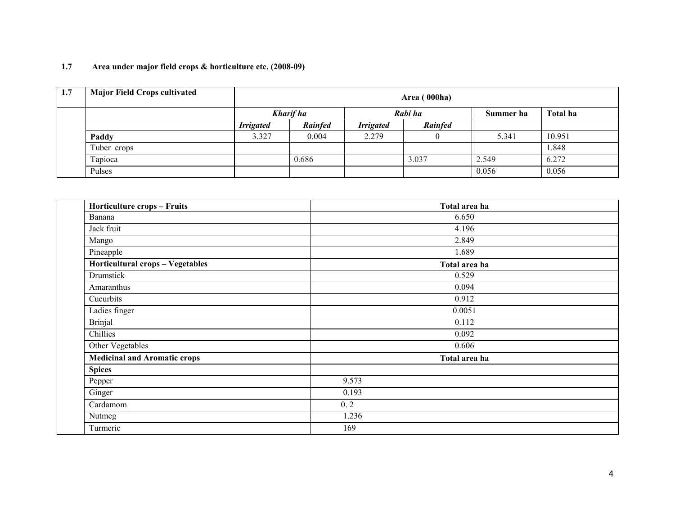#### 1.7Area under major field crops & horticulture etc. (2008-09)

| 1.7 | <b>Major Field Crops cultivated</b> |                  | Area (000ha)   |                  |                |           |          |  |  |  |
|-----|-------------------------------------|------------------|----------------|------------------|----------------|-----------|----------|--|--|--|
|     |                                     |                  | Kharif ha      |                  | Rabi ha        | Summer ha | Total ha |  |  |  |
|     |                                     | <b>Irrigated</b> | <b>Rainfed</b> | <b>Irrigated</b> | <b>Rainfed</b> |           |          |  |  |  |
|     | Paddy                               | 3.327            | 0.004          | 2.279            |                | 5.341     | 10.951   |  |  |  |
|     | Tuber crops                         |                  |                |                  |                |           | 1.848    |  |  |  |
|     | Tapioca                             |                  | 0.686          |                  | 3.037          | 2.549     | 6.272    |  |  |  |
|     | Pulses                              |                  |                |                  |                | 0.056     | 0.056    |  |  |  |

| <b>Horticulture crops - Fruits</b>  | Total area ha |
|-------------------------------------|---------------|
| Banana                              | 6.650         |
| Jack fruit                          | 4.196         |
| Mango                               | 2.849         |
| Pineapple                           | 1.689         |
| Horticultural crops - Vegetables    | Total area ha |
| Drumstick                           | 0.529         |
| Amaranthus                          | 0.094         |
| Cucurbits                           | 0.912         |
| Ladies finger                       | 0.0051        |
| <b>Brinjal</b>                      | 0.112         |
| Chillies                            | 0.092         |
| Other Vegetables                    | 0.606         |
| <b>Medicinal and Aromatic crops</b> | Total area ha |
| <b>Spices</b>                       |               |
| Pepper                              | 9.573         |
| Ginger                              | 0.193         |
| Cardamom                            | 0.2           |
| Nutmeg                              | 1.236         |
| Turmeric                            | 169           |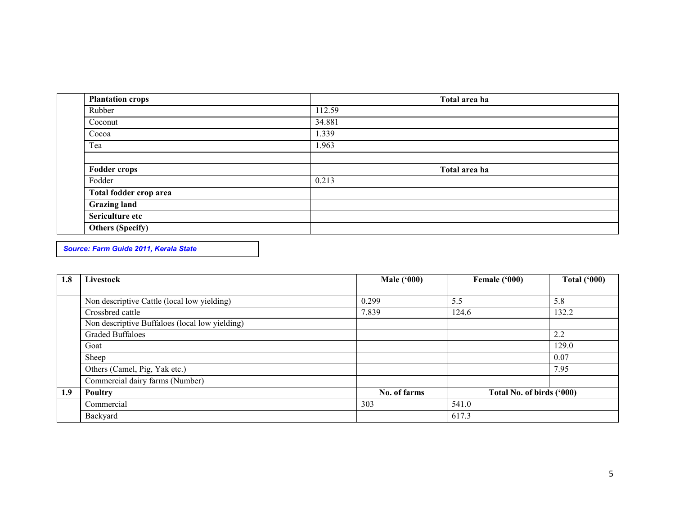| <b>Plantation crops</b> | Total area ha |  |
|-------------------------|---------------|--|
| Rubber                  | 112.59        |  |
| Coconut                 | 34.881        |  |
| Cocoa                   | 1.339         |  |
| Tea                     | 1.963         |  |
|                         |               |  |
| <b>Fodder crops</b>     | Total area ha |  |
| Fodder                  | 0.213         |  |
| Total fodder crop area  |               |  |
| <b>Grazing land</b>     |               |  |
| Sericulture etc         |               |  |
| <b>Others (Specify)</b> |               |  |

Source: Farm Guide 2011, Kerala State

| 1.8 | Livestock                                      | <b>Male</b> ('000) | Female ('000)             | <b>Total ('000)</b> |  |
|-----|------------------------------------------------|--------------------|---------------------------|---------------------|--|
|     |                                                |                    |                           |                     |  |
|     | Non descriptive Cattle (local low yielding)    | 0.299              | 5.5                       | 5.8                 |  |
|     | Crossbred cattle                               | 7.839              | 124.6                     | 132.2               |  |
|     | Non descriptive Buffaloes (local low yielding) |                    |                           |                     |  |
|     | <b>Graded Buffaloes</b>                        |                    |                           | 2.2                 |  |
|     | Goat                                           |                    |                           | 129.0               |  |
|     | Sheep                                          |                    |                           | 0.07                |  |
|     | Others (Camel, Pig, Yak etc.)                  |                    |                           | 7.95                |  |
|     | Commercial dairy farms (Number)                |                    |                           |                     |  |
| 1.9 | Poultry                                        | No. of farms       | Total No. of birds ('000) |                     |  |
|     | Commercial                                     | 303                | 541.0                     |                     |  |
|     | Backyard                                       |                    | 617.3                     |                     |  |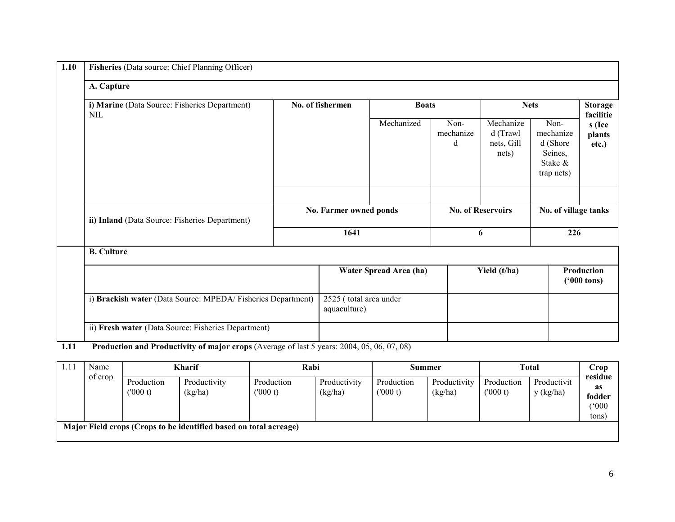| A. Capture                                                  |                  |                                        |                        |                        |                                                  |                                                                   |                             |  |  |  |
|-------------------------------------------------------------|------------------|----------------------------------------|------------------------|------------------------|--------------------------------------------------|-------------------------------------------------------------------|-----------------------------|--|--|--|
| i) Marine (Data Source: Fisheries Department)<br>NIL        | No. of fishermen |                                        | <b>Boats</b>           |                        |                                                  | <b>Nets</b>                                                       | <b>Storage</b><br>facilitie |  |  |  |
| ii) Inland (Data Source: Fisheries Department)              |                  | Mechanized                             |                        | Non-<br>mechanize<br>d | Mechanize<br>d (Trawl<br>nets, Gill<br>nets)     | Non-<br>mechanize<br>d (Shore<br>Seines,<br>Stake &<br>trap nets) | s (Ice<br>plants<br>etc.)   |  |  |  |
|                                                             |                  |                                        |                        |                        |                                                  |                                                                   |                             |  |  |  |
|                                                             |                  | No. Farmer owned ponds                 |                        |                        | <b>No. of Reservoirs</b><br>No. of village tanks |                                                                   |                             |  |  |  |
|                                                             |                  | 1641                                   |                        |                        | 6                                                |                                                                   | 226                         |  |  |  |
| <b>B.</b> Culture                                           |                  |                                        |                        |                        |                                                  |                                                                   |                             |  |  |  |
|                                                             |                  |                                        | Water Spread Area (ha) |                        | Yield (t/ha)                                     | Production<br>$(900 \text{ tons})$                                |                             |  |  |  |
| i) Brackish water (Data Source: MPEDA/Fisheries Department) |                  | 2525 (total area under<br>aquaculture) |                        |                        |                                                  |                                                                   |                             |  |  |  |
| ii) Fresh water (Data Source: Fisheries Department)         |                  |                                        |                        |                        |                                                  |                                                                   |                             |  |  |  |

**1.11** Production and Productivity of major crops (Average of last 5 years: 2004, 05, 06, 07, 08)

| Name                                                              | <b>Kharif</b> |              | Rabi       |              | Summer     |              | <b>Total</b>          |             | Crop                     |
|-------------------------------------------------------------------|---------------|--------------|------------|--------------|------------|--------------|-----------------------|-------------|--------------------------|
| of crop                                                           | Production    | Productivity | Production | Productivity | Production | Productivity | Production<br>(000 t) | Productivit | residue<br>as            |
|                                                                   | (000 t)       | (kg/ha)      | (000 t)    | (kg/ha)      | (000 t)    | (kg/ha)      |                       | y (kg/ha)   | fodder<br>(°000)<br>tons |
| Major Field crops (Crops to be identified based on total acreage) |               |              |            |              |            |              |                       |             |                          |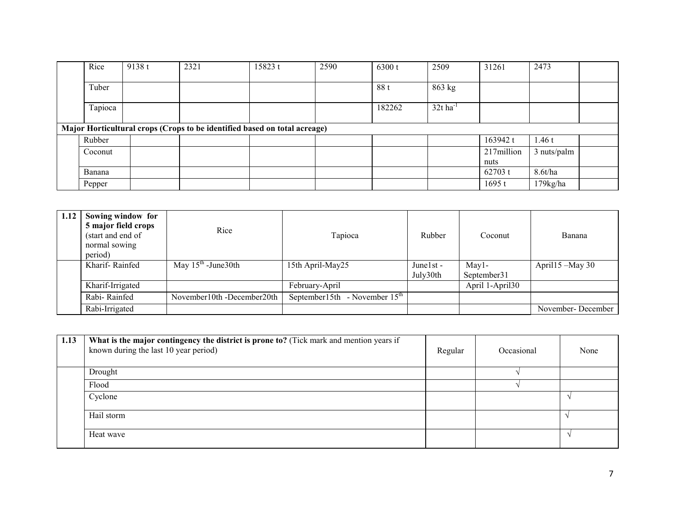| Rice                                                                      | 9138 t | 2321 | 15823 t | 2590 | 6300 t | 2509                   | 31261              | 2473        |  |
|---------------------------------------------------------------------------|--------|------|---------|------|--------|------------------------|--------------------|-------------|--|
| Tuber                                                                     |        |      |         |      | 88 t   | 863 kg                 |                    |             |  |
| Tapioca                                                                   |        |      |         |      | 182262 | $32t$ ha <sup>-1</sup> |                    |             |  |
| Major Horticultural crops (Crops to be identified based on total acreage) |        |      |         |      |        |                        |                    |             |  |
| Rubber                                                                    |        |      |         |      |        |                        | 163942 t           | 1.46 $t$    |  |
| Coconut                                                                   |        |      |         |      |        |                        | 217million<br>nuts | 3 nuts/palm |  |
| Banana                                                                    |        |      |         |      |        |                        | 62703 t            | 8.6t/ha     |  |
| Pepper                                                                    |        |      |         |      |        |                        | 1695t              | $179$ kg/ha |  |

| 1.12 | Sowing window for<br>5 major field crops<br>(start and end of<br>normal sowing<br>period) | Rice                       | Tapioca                                      | Rubber<br>Coconut                 |                       | Banana            |
|------|-------------------------------------------------------------------------------------------|----------------------------|----------------------------------------------|-----------------------------------|-----------------------|-------------------|
|      | Kharif-Rainfed                                                                            | May $15th$ -June 30th      | 15th April-May25                             | Junel <sub>st</sub> -<br>July30th | May1-<br>September 31 | April15 -May 30   |
|      | Kharif-Irrigated                                                                          |                            | February-April                               |                                   | April 1-April30       |                   |
|      | Rabi-Rainfed                                                                              | November10th -December20th | - November $15^{\text{th}}$<br>September15th |                                   |                       |                   |
|      | Rabi-Irrigated                                                                            |                            |                                              |                                   |                       | November-December |

| 1.13 | What is the major contingency the district is prone to? (Tick mark and mention years if<br>known during the last 10 year period) | Regular | Occasional | None          |
|------|----------------------------------------------------------------------------------------------------------------------------------|---------|------------|---------------|
|      | Drought                                                                                                                          |         |            |               |
|      | Flood                                                                                                                            |         |            |               |
|      | Cyclone                                                                                                                          |         |            |               |
|      | Hail storm                                                                                                                       |         |            |               |
|      | Heat wave                                                                                                                        |         |            | $\mathcal{L}$ |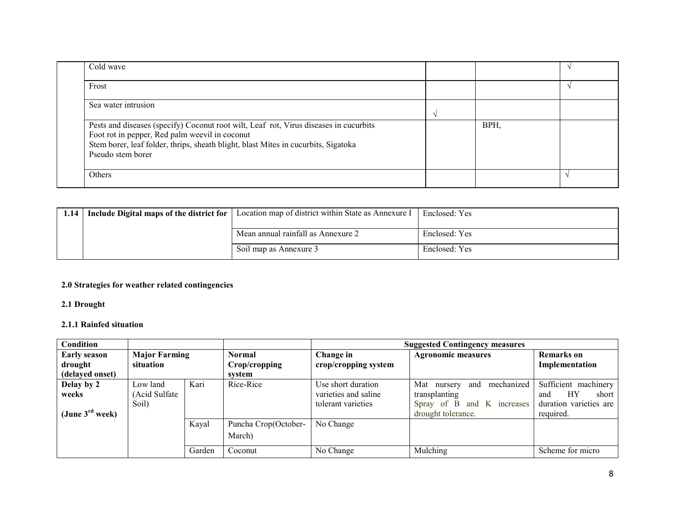| Cold wave                                                                                                                                                                                                                                          |      |  |
|----------------------------------------------------------------------------------------------------------------------------------------------------------------------------------------------------------------------------------------------------|------|--|
| Frost                                                                                                                                                                                                                                              |      |  |
| Sea water intrusion                                                                                                                                                                                                                                |      |  |
| Pests and diseases (specify) Coconut root wilt, Leaf rot, Virus diseases in cucurbits<br>Foot rot in pepper, Red palm weevil in coconut<br>Stem borer, leaf folder, thrips, sheath blight, blast Mites in cucurbits, Sigatoka<br>Pseudo stem borer | BPH, |  |
| Others                                                                                                                                                                                                                                             |      |  |

| 1.14   Include Digital maps of the district for | Location map of district within State as Annexure I | Enclosed: Yes |
|-------------------------------------------------|-----------------------------------------------------|---------------|
|                                                 |                                                     |               |
|                                                 | Mean annual rainfall as Annexure 2                  | Enclosed: Yes |
|                                                 | Soil map as Annexure 3                              | Enclosed: Yes |

## 2.0 Strategies for weather related contingencies

2.1 Drought

#### 2.1.1 Rainfed situation

| <b>Condition</b>            |                      |        |                      | <b>Suggested Contingency measures</b> |                                  |                        |  |
|-----------------------------|----------------------|--------|----------------------|---------------------------------------|----------------------------------|------------------------|--|
| <b>Early season</b>         | <b>Major Farming</b> |        | <b>Normal</b>        | Change in                             | <b>Agronomic measures</b>        | Remarks on             |  |
| drought                     | situation            |        | Crop/cropping        | crop/cropping system                  |                                  | Implementation         |  |
| (delayed onset)             |                      |        | svstem               |                                       |                                  |                        |  |
| Delay by 2                  | Low land             | Kari   | Rice-Rice            | Use short duration                    | mechanized<br>Mat nursery<br>and | Sufficient machinery   |  |
| weeks                       | (Acid Sulfate        |        |                      | varieties and saline                  | transplanting                    | HY<br>short<br>and     |  |
|                             | Soil)                |        |                      | tolerant varieties                    | Spray of B and K increases       | duration varieties are |  |
| (June $3^{\text{rd}}$ week) |                      |        |                      |                                       | drought tolerance.               | required.              |  |
|                             |                      | Kayal  | Puncha Crop(October- | No Change                             |                                  |                        |  |
|                             |                      |        | March)               |                                       |                                  |                        |  |
|                             |                      | Garden | Coconut              | No Change                             | Mulching                         | Scheme for micro       |  |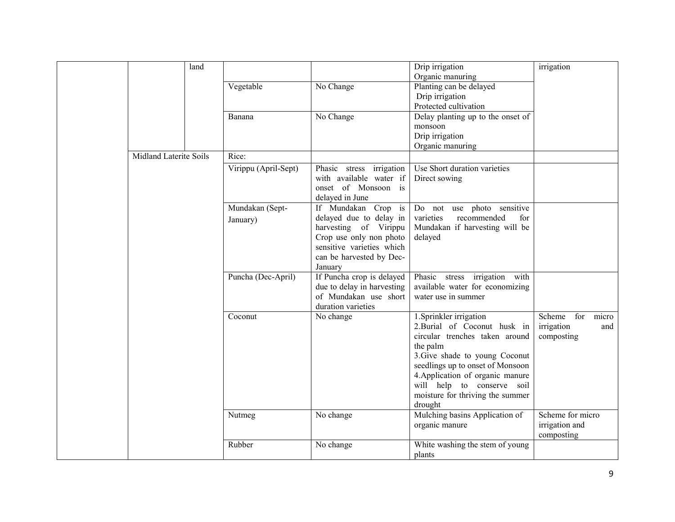|                        | land |                      |                                                                                               | Drip irrigation                               | irrigation          |
|------------------------|------|----------------------|-----------------------------------------------------------------------------------------------|-----------------------------------------------|---------------------|
|                        |      |                      |                                                                                               | Organic manuring                              |                     |
|                        |      | Vegetable            | No Change                                                                                     | Planting can be delayed                       |                     |
|                        |      |                      |                                                                                               | Drip irrigation                               |                     |
|                        |      |                      |                                                                                               | Protected cultivation                         |                     |
|                        |      | Banana               | No Change                                                                                     | Delay planting up to the onset of             |                     |
|                        |      |                      |                                                                                               | monsoon                                       |                     |
|                        |      |                      |                                                                                               | Drip irrigation                               |                     |
|                        |      |                      |                                                                                               | Organic manuring                              |                     |
| Midland Laterite Soils |      | Rice:                |                                                                                               |                                               |                     |
|                        |      | Virippu (April-Sept) | Phasic stress irrigation<br>with available water if<br>onset of Monsoon is<br>delayed in June | Use Short duration varieties<br>Direct sowing |                     |
|                        |      | Mundakan (Sept-      | If Mundakan Crop is                                                                           | Do not use photo sensitive                    |                     |
|                        |      | January)             | delayed due to delay in                                                                       | varieties<br>recommended<br>for               |                     |
|                        |      |                      | harvesting of Virippu                                                                         | Mundakan if harvesting will be                |                     |
|                        |      |                      | Crop use only non photo                                                                       | delayed                                       |                     |
|                        |      |                      | sensitive varieties which                                                                     |                                               |                     |
|                        |      |                      | can be harvested by Dec-                                                                      |                                               |                     |
|                        |      |                      | January                                                                                       |                                               |                     |
|                        |      | Puncha (Dec-April)   | If Puncha crop is delayed                                                                     | Phasic stress irrigation<br>with              |                     |
|                        |      |                      | due to delay in harvesting                                                                    | available water for economizing               |                     |
|                        |      |                      | of Mundakan use short                                                                         | water use in summer                           |                     |
|                        |      |                      | duration varieties                                                                            |                                               |                     |
|                        |      | Coconut              | No change                                                                                     | 1. Sprinkler irrigation                       | Scheme for<br>micro |
|                        |      |                      |                                                                                               | 2. Burial of Coconut husk in                  | irrigation<br>and   |
|                        |      |                      |                                                                                               | circular trenches taken around                | composting          |
|                        |      |                      |                                                                                               | the palm                                      |                     |
|                        |      |                      |                                                                                               | 3. Give shade to young Coconut                |                     |
|                        |      |                      |                                                                                               | seedlings up to onset of Monsoon              |                     |
|                        |      |                      |                                                                                               | 4. Application of organic manure              |                     |
|                        |      |                      |                                                                                               | will help to conserve soil                    |                     |
|                        |      |                      |                                                                                               | moisture for thriving the summer              |                     |
|                        |      |                      |                                                                                               | drought                                       |                     |
|                        |      | Nutmeg               | No change                                                                                     | Mulching basins Application of                | Scheme for micro    |
|                        |      |                      |                                                                                               | organic manure                                | irrigation and      |
|                        |      |                      |                                                                                               |                                               | composting          |
|                        |      | Rubber               | No change                                                                                     | White washing the stem of young               |                     |
|                        |      |                      |                                                                                               | plants                                        |                     |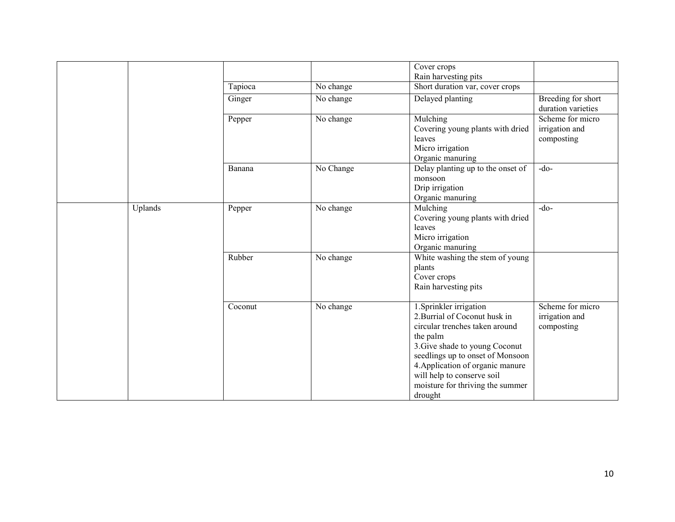|         |         |           | Cover crops                       |                    |
|---------|---------|-----------|-----------------------------------|--------------------|
|         |         |           | Rain harvesting pits              |                    |
|         | Tapioca | No change | Short duration var, cover crops   |                    |
|         | Ginger  | No change | Delayed planting                  | Breeding for short |
|         |         |           |                                   | duration varieties |
|         | Pepper  | No change | Mulching                          | Scheme for micro   |
|         |         |           | Covering young plants with dried  | irrigation and     |
|         |         |           | leaves                            | composting         |
|         |         |           | Micro irrigation                  |                    |
|         |         |           | Organic manuring                  |                    |
|         | Banana  | No Change | Delay planting up to the onset of | $-do-$             |
|         |         |           | monsoon                           |                    |
|         |         |           | Drip irrigation                   |                    |
|         |         |           | Organic manuring                  |                    |
| Uplands | Pepper  | No change | Mulching                          | $-do-$             |
|         |         |           | Covering young plants with dried  |                    |
|         |         |           | leaves                            |                    |
|         |         |           | Micro irrigation                  |                    |
|         |         |           | Organic manuring                  |                    |
|         | Rubber  | No change | White washing the stem of young   |                    |
|         |         |           | plants                            |                    |
|         |         |           | Cover crops                       |                    |
|         |         |           | Rain harvesting pits              |                    |
|         | Coconut | No change | 1. Sprinkler irrigation           | Scheme for micro   |
|         |         |           | 2. Burrial of Coconut husk in     | irrigation and     |
|         |         |           | circular trenches taken around    | composting         |
|         |         |           | the palm                          |                    |
|         |         |           | 3. Give shade to young Coconut    |                    |
|         |         |           | seedlings up to onset of Monsoon  |                    |
|         |         |           | 4. Application of organic manure  |                    |
|         |         |           | will help to conserve soil        |                    |
|         |         |           | moisture for thriving the summer  |                    |
|         |         |           | drought                           |                    |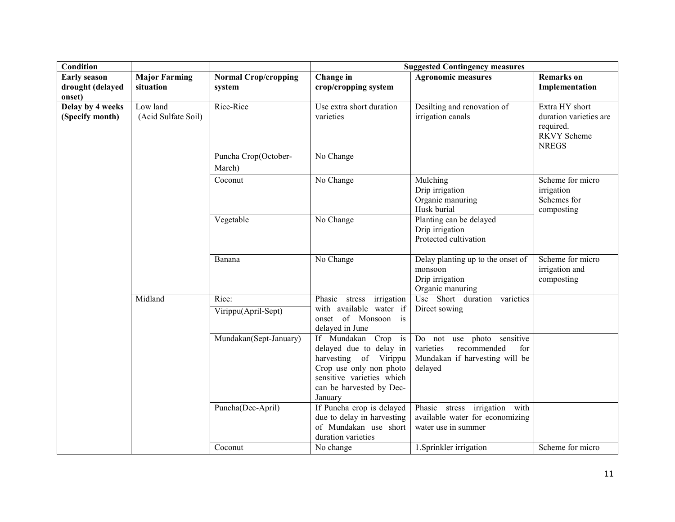| Condition                                         |                                   |                                       | <b>Suggested Contingency measures</b>                                                                                                                                  |                                                                                                            |                                                                                             |  |
|---------------------------------------------------|-----------------------------------|---------------------------------------|------------------------------------------------------------------------------------------------------------------------------------------------------------------------|------------------------------------------------------------------------------------------------------------|---------------------------------------------------------------------------------------------|--|
| <b>Early season</b><br>drought (delayed<br>onset) | <b>Major Farming</b><br>situation | <b>Normal Crop/cropping</b><br>system | Change in<br>crop/cropping system                                                                                                                                      | <b>Agronomic measures</b>                                                                                  | <b>Remarks</b> on<br>Implementation                                                         |  |
| Delay by 4 weeks<br>(Specify month)               | Low land<br>(Acid Sulfate Soil)   | Rice-Rice                             | Use extra short duration<br>varieties                                                                                                                                  | Desilting and renovation of<br>irrigation canals                                                           | Extra HY short<br>duration varieties are<br>required.<br><b>RKVY Scheme</b><br><b>NREGS</b> |  |
|                                                   |                                   | Puncha Crop(October-<br>March)        | No Change                                                                                                                                                              |                                                                                                            |                                                                                             |  |
|                                                   |                                   | Coconut                               | No Change                                                                                                                                                              | Mulching<br>Drip irrigation<br>Organic manuring<br>Husk burial                                             | Scheme for micro<br>irrigation<br>Schemes for<br>composting                                 |  |
|                                                   |                                   | Vegetable                             | No Change                                                                                                                                                              | Planting can be delayed<br>Drip irrigation<br>Protected cultivation                                        |                                                                                             |  |
|                                                   |                                   | Banana                                | No Change                                                                                                                                                              | Delay planting up to the onset of<br>monsoon<br>Drip irrigation<br>Organic manuring                        | Scheme for micro<br>irrigation and<br>composting                                            |  |
|                                                   | Midland                           | Rice:<br>Virippu(April-Sept)          | Phasic stress irrigation<br>with available water if<br>onset of Monsoon is<br>delayed in June                                                                          | Use Short duration varieties<br>Direct sowing                                                              |                                                                                             |  |
|                                                   |                                   | Mundakan(Sept-January)                | If Mundakan Crop is<br>delayed due to delay in<br>harvesting of Virippu<br>Crop use only non photo<br>sensitive varieties which<br>can be harvested by Dec-<br>January | Do not use photo sensitive<br>varieties<br>recommended<br>for<br>Mundakan if harvesting will be<br>delayed |                                                                                             |  |
|                                                   |                                   | Puncha(Dec-April)                     | If Puncha crop is delayed<br>due to delay in harvesting<br>of Mundakan use short<br>duration varieties                                                                 | Phasic stress irrigation with<br>available water for economizing<br>water use in summer                    |                                                                                             |  |
|                                                   |                                   | Coconut                               | No change                                                                                                                                                              | 1. Sprinkler irrigation                                                                                    | Scheme for micro                                                                            |  |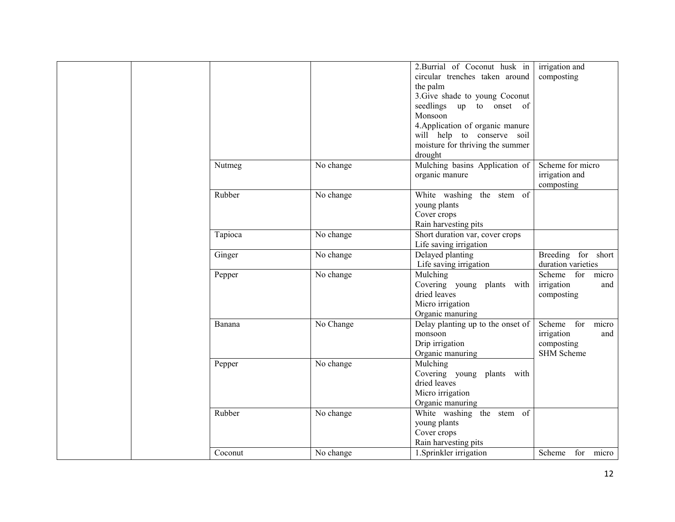|  |         |           | 2. Burrial of Coconut husk in     | irrigation and      |
|--|---------|-----------|-----------------------------------|---------------------|
|  |         |           | circular trenches taken around    | composting          |
|  |         |           | the palm                          |                     |
|  |         |           | 3. Give shade to young Coconut    |                     |
|  |         |           | seedlings up to onset of          |                     |
|  |         |           | Monsoon                           |                     |
|  |         |           | 4. Application of organic manure  |                     |
|  |         |           | will help to conserve soil        |                     |
|  |         |           | moisture for thriving the summer  |                     |
|  |         |           | drought                           |                     |
|  | Nutmeg  | No change | Mulching basins Application of    | Scheme for micro    |
|  |         |           | organic manure                    | irrigation and      |
|  |         |           |                                   | composting          |
|  | Rubber  | No change | White washing the stem of         |                     |
|  |         |           | young plants                      |                     |
|  |         |           | Cover crops                       |                     |
|  |         |           | Rain harvesting pits              |                     |
|  | Tapioca | No change | Short duration var, cover crops   |                     |
|  |         |           | Life saving irrigation            |                     |
|  | Ginger  | No change | Delayed planting                  | Breeding for short  |
|  |         |           | Life saving irrigation            | duration varieties  |
|  | Pepper  | No change | Mulching                          | Scheme for<br>micro |
|  |         |           | Covering young plants with        | irrigation<br>and   |
|  |         |           | dried leaves                      | composting          |
|  |         |           | Micro irrigation                  |                     |
|  |         |           | Organic manuring                  |                     |
|  | Banana  | No Change | Delay planting up to the onset of | Scheme for<br>micro |
|  |         |           | monsoon                           | irrigation<br>and   |
|  |         |           | Drip irrigation                   | composting          |
|  |         |           | Organic manuring                  | <b>SHM Scheme</b>   |
|  | Pepper  | No change | Mulching                          |                     |
|  |         |           | Covering young plants with        |                     |
|  |         |           | dried leaves                      |                     |
|  |         |           | Micro irrigation                  |                     |
|  |         |           | Organic manuring                  |                     |
|  | Rubber  | No change | White washing the stem of         |                     |
|  |         |           | young plants                      |                     |
|  |         |           | Cover crops                       |                     |
|  |         |           | Rain harvesting pits              |                     |
|  | Coconut | No change | 1. Sprinkler irrigation           | Scheme<br>for micro |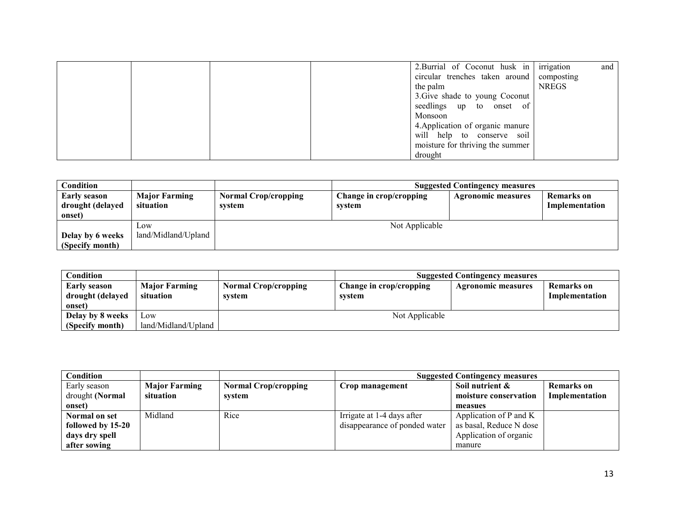|  |  | 2. Burrial of Coconut husk in Firigation  |              | and |
|--|--|-------------------------------------------|--------------|-----|
|  |  | circular trenches taken around composting |              |     |
|  |  | the palm                                  | <b>NREGS</b> |     |
|  |  | 3. Give shade to young Coconut            |              |     |
|  |  | seedlings up to onset of                  |              |     |
|  |  | Monsoon                                   |              |     |
|  |  | 4. Application of organic manure          |              |     |
|  |  | will help to conserve soil                |              |     |
|  |  | moisture for thriving the summer          |              |     |
|  |  | drought                                   |              |     |

| Condition           |                      | <b>Suggested Contingency measures</b> |                         |                           |                |
|---------------------|----------------------|---------------------------------------|-------------------------|---------------------------|----------------|
| <b>Early season</b> | <b>Major Farming</b> | <b>Normal Crop/cropping</b>           | Change in crop/cropping | <b>Agronomic measures</b> | Remarks on     |
| drought (delayed    | situation            | system                                | svstem                  |                           | Implementation |
| onset)              |                      |                                       |                         |                           |                |
|                     | LOW                  | Not Applicable                        |                         |                           |                |
| Delay by 6 weeks    | land/Midland/Upland  |                                       |                         |                           |                |
| (Specify month)     |                      |                                       |                         |                           |                |

| Condition                                         |                                   | <b>Suggested Contingency measures</b> |                                   |                           |                              |  |
|---------------------------------------------------|-----------------------------------|---------------------------------------|-----------------------------------|---------------------------|------------------------------|--|
| <b>Early season</b><br>drought (delayed<br>onset) | <b>Major Farming</b><br>situation | <b>Normal Crop/cropping</b><br>system | Change in crop/cropping<br>system | <b>Agronomic measures</b> | Remarks on<br>Implementation |  |
| Delay by 8 weeks                                  | L <sub>0</sub> W                  | Not Applicable                        |                                   |                           |                              |  |
| (Specify month)                                   | land/Midland/Upland               |                                       |                                   |                           |                              |  |

| Condition         |                      |                             | <b>Suggested Contingency measures</b> |                         |                |  |
|-------------------|----------------------|-----------------------------|---------------------------------------|-------------------------|----------------|--|
| Early season      | <b>Major Farming</b> | <b>Normal Crop/cropping</b> | Crop management                       | Soil nutrient $\&$      | Remarks on     |  |
| drought (Normal   | situation            | svstem                      |                                       | moisture conservation   | Implementation |  |
| onset)            |                      |                             |                                       | measues                 |                |  |
| Normal on set     | Midland              | Rice                        | Irrigate at 1-4 days after            | Application of P and K  |                |  |
| followed by 15-20 |                      |                             | disappearance of ponded water         | as basal, Reduce N dose |                |  |
| days dry spell    |                      |                             |                                       | Application of organic  |                |  |
| after sowing      |                      |                             |                                       | manure                  |                |  |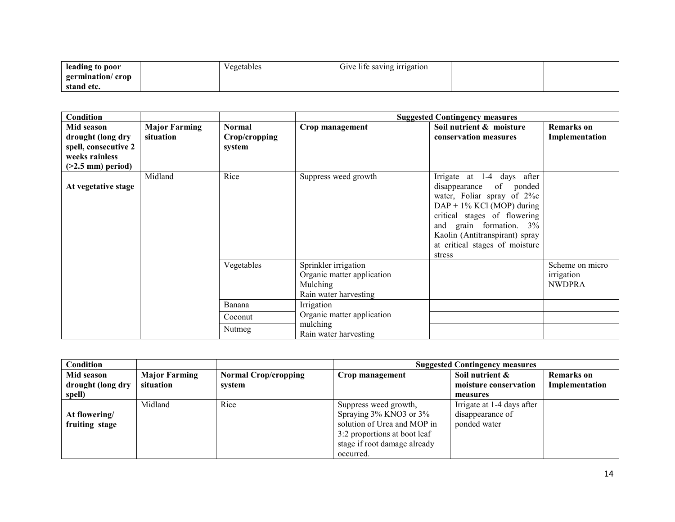| leading to poor                | . .<br>Vegetables | Give life saving irrigation |  |
|--------------------------------|-------------------|-----------------------------|--|
| germination/crop<br>stand etc. |                   |                             |  |

| Condition                                                                                        |                                   |                                          |                                                                                         | <b>Suggested Contingency measures</b>                                                                                                                                                                                                                        |                                                |
|--------------------------------------------------------------------------------------------------|-----------------------------------|------------------------------------------|-----------------------------------------------------------------------------------------|--------------------------------------------------------------------------------------------------------------------------------------------------------------------------------------------------------------------------------------------------------------|------------------------------------------------|
| Mid season<br>drought (long dry<br>spell, consecutive 2<br>weeks rainless<br>$(>2.5$ mm) period) | <b>Major Farming</b><br>situation | <b>Normal</b><br>Crop/cropping<br>system | Crop management                                                                         | Soil nutrient & moisture<br>conservation measures                                                                                                                                                                                                            | <b>Remarks</b> on<br>Implementation            |
| At vegetative stage                                                                              | Midland                           | Rice                                     | Suppress weed growth                                                                    | Irrigate at 1-4 days after<br>disappearance of ponded<br>water, Foliar spray of 2%c<br>$DAP + 1\%$ KCl (MOP) during<br>critical stages of flowering<br>and grain formation. 3%<br>Kaolin (Antitranspirant) spray<br>at critical stages of moisture<br>stress |                                                |
|                                                                                                  |                                   | Vegetables                               | Sprinkler irrigation<br>Organic matter application<br>Mulching<br>Rain water harvesting |                                                                                                                                                                                                                                                              | Scheme on micro<br>irrigation<br><b>NWDPRA</b> |
|                                                                                                  |                                   | Banana                                   | Irrigation                                                                              |                                                                                                                                                                                                                                                              |                                                |
|                                                                                                  |                                   | Coconut                                  | Organic matter application                                                              |                                                                                                                                                                                                                                                              |                                                |
|                                                                                                  |                                   | Nutmeg                                   | mulching<br>Rain water harvesting                                                       |                                                                                                                                                                                                                                                              |                                                |

| Condition                       |                                   |                                       | <b>Suggested Contingency measures</b>                                                       |                                                |                                     |
|---------------------------------|-----------------------------------|---------------------------------------|---------------------------------------------------------------------------------------------|------------------------------------------------|-------------------------------------|
| Mid season<br>drought (long dry | <b>Major Farming</b><br>situation | <b>Normal Crop/cropping</b><br>system | Crop management                                                                             | Soil nutrient &<br>moisture conservation       | <b>Remarks</b> on<br>Implementation |
| spell)                          |                                   |                                       |                                                                                             | measures                                       |                                     |
| At flowering/                   | Midland                           | Rice                                  | Suppress weed growth,<br>Spraying $3\%$ KNO3 or $3\%$                                       | Irrigate at 1-4 days after<br>disappearance of |                                     |
| fruiting stage                  |                                   |                                       | solution of Urea and MOP in<br>3:2 proportions at boot leaf<br>stage if root damage already | ponded water                                   |                                     |
|                                 |                                   |                                       | occurred.                                                                                   |                                                |                                     |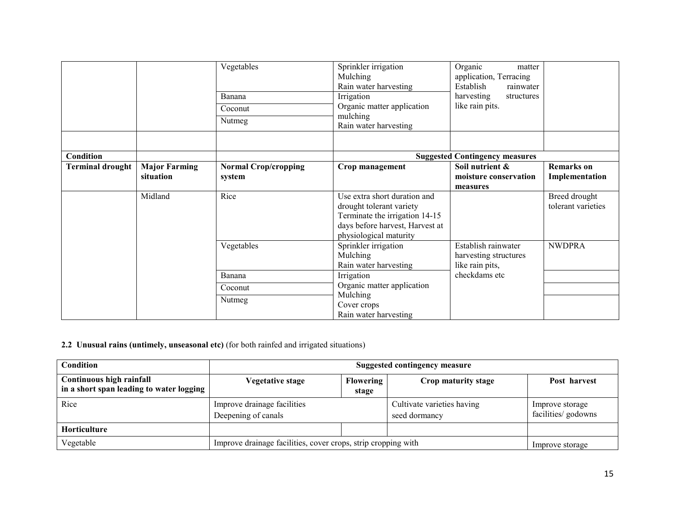|                         |                                   | Vegetables<br>Banana<br>Coconut<br>Nutmeg | Sprinkler irrigation<br>Mulching<br>Rain water harvesting<br>Irrigation<br>Organic matter application<br>mulching<br>Rain water harvesting              | Organic<br>matter<br>application, Terracing<br>Establish<br>rainwater<br>harvesting<br>structures<br>like rain pits. |                                     |
|-------------------------|-----------------------------------|-------------------------------------------|---------------------------------------------------------------------------------------------------------------------------------------------------------|----------------------------------------------------------------------------------------------------------------------|-------------------------------------|
| Condition               |                                   |                                           |                                                                                                                                                         | <b>Suggested Contingency measures</b>                                                                                |                                     |
| <b>Terminal drought</b> | <b>Major Farming</b><br>situation | <b>Normal Crop/cropping</b><br>system     | Crop management                                                                                                                                         | Soil nutrient &<br>moisture conservation<br>measures                                                                 | <b>Remarks</b> on<br>Implementation |
|                         | Midland                           | Rice                                      | Use extra short duration and<br>drought tolerant variety<br>Terminate the irrigation 14-15<br>days before harvest, Harvest at<br>physiological maturity |                                                                                                                      | Breed drought<br>tolerant varieties |
|                         |                                   | Vegetables                                | Sprinkler irrigation<br>Mulching<br>Rain water harvesting                                                                                               | Establish rainwater<br>harvesting structures<br>like rain pits,                                                      | <b>NWDPRA</b>                       |
|                         |                                   | Banana                                    | Irrigation                                                                                                                                              | checkdams etc                                                                                                        |                                     |
|                         |                                   | Coconut                                   | Organic matter application                                                                                                                              |                                                                                                                      |                                     |
|                         |                                   | Nutmeg                                    | Mulching<br>Cover crops<br>Rain water harvesting                                                                                                        |                                                                                                                      |                                     |

2.2 Unusual rains (untimely, unseasonal etc) (for both rainfed and irrigated situations)

| <b>Condition</b>                                                     | Suggested contingency measure                                 |                           |                                             |                                        |  |
|----------------------------------------------------------------------|---------------------------------------------------------------|---------------------------|---------------------------------------------|----------------------------------------|--|
| Continuous high rainfall<br>in a short span leading to water logging | <b>Vegetative stage</b>                                       | <b>Flowering</b><br>stage | Crop maturity stage                         | Post harvest                           |  |
| Rice                                                                 | Improve drainage facilities<br>Deepening of canals            |                           | Cultivate varieties having<br>seed dormancy | Improve storage<br>facilities/ godowns |  |
| Horticulture                                                         |                                                               |                           |                                             |                                        |  |
| Vegetable                                                            | Improve drainage facilities, cover crops, strip cropping with |                           |                                             | Improve storage                        |  |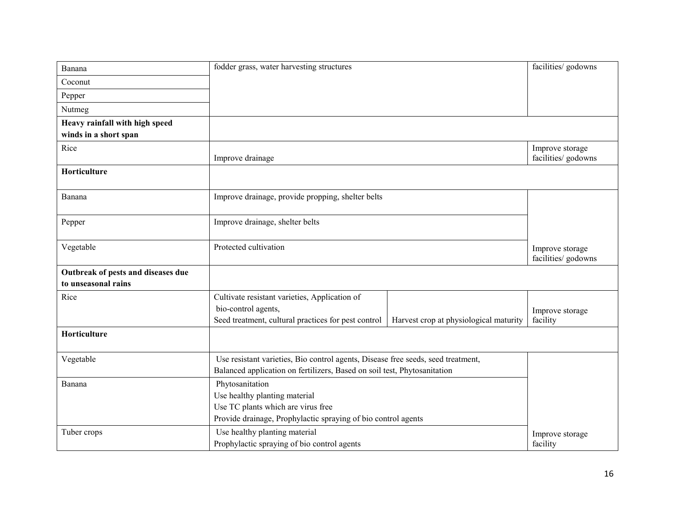| Banana                             | fodder grass, water harvesting structures                                        |                                        | facilities/ godowns                    |
|------------------------------------|----------------------------------------------------------------------------------|----------------------------------------|----------------------------------------|
| Coconut                            |                                                                                  |                                        |                                        |
| Pepper                             |                                                                                  |                                        |                                        |
| Nutmeg                             |                                                                                  |                                        |                                        |
| Heavy rainfall with high speed     |                                                                                  |                                        |                                        |
| winds in a short span              |                                                                                  |                                        |                                        |
| Rice                               | Improve drainage                                                                 |                                        | Improve storage<br>facilities/ godowns |
| Horticulture                       |                                                                                  |                                        |                                        |
| Banana                             | Improve drainage, provide propping, shelter belts                                |                                        |                                        |
| Pepper                             | Improve drainage, shelter belts                                                  |                                        |                                        |
| Vegetable                          | Protected cultivation                                                            |                                        | Improve storage<br>facilities/ godowns |
| Outbreak of pests and diseases due |                                                                                  |                                        |                                        |
| to unseasonal rains                |                                                                                  |                                        |                                        |
| Rice                               | Cultivate resistant varieties, Application of                                    |                                        |                                        |
|                                    | bio-control agents,                                                              |                                        | Improve storage                        |
|                                    | Seed treatment, cultural practices for pest control                              | Harvest crop at physiological maturity | facility                               |
| Horticulture                       |                                                                                  |                                        |                                        |
| Vegetable                          | Use resistant varieties, Bio control agents, Disease free seeds, seed treatment, |                                        |                                        |
|                                    | Balanced application on fertilizers, Based on soil test, Phytosanitation         |                                        |                                        |
| Banana                             | Phytosanitation                                                                  |                                        |                                        |
|                                    | Use healthy planting material                                                    |                                        |                                        |
|                                    | Use TC plants which are virus free                                               |                                        |                                        |
|                                    | Provide drainage, Prophylactic spraying of bio control agents                    |                                        |                                        |
| Tuber crops                        | Use healthy planting material                                                    |                                        | Improve storage                        |
|                                    | Prophylactic spraying of bio control agents                                      | facility                               |                                        |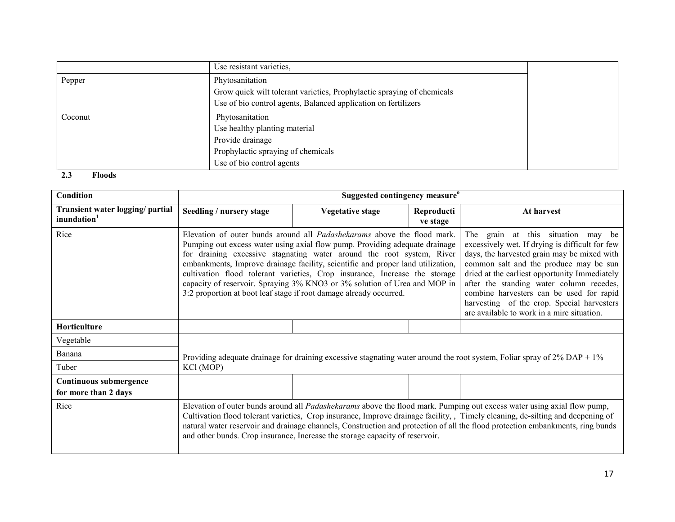|         | Use resistant varieties,                                               |
|---------|------------------------------------------------------------------------|
| Pepper  | Phytosanitation                                                        |
|         | Grow quick wilt tolerant varieties, Prophylactic spraying of chemicals |
|         | Use of bio control agents, Balanced application on fertilizers         |
| Coconut | Phytosanitation                                                        |
|         | Use healthy planting material                                          |
|         | Provide drainage                                                       |
|         | Prophylactic spraying of chemicals                                     |
|         | Use of bio control agents                                              |

#### 2.3 Floods

| <b>Condition</b>                                            |                                                                                                                                                                                                                                                                                                                                                                                                                                                                                    | Suggested contingency measure <sup>o</sup>                                                                                                                                                                                                                                                                                                                                                                                                                                                                                                          |                        |                                                                                                                                                                                                                                                                                                                                                                                                                     |
|-------------------------------------------------------------|------------------------------------------------------------------------------------------------------------------------------------------------------------------------------------------------------------------------------------------------------------------------------------------------------------------------------------------------------------------------------------------------------------------------------------------------------------------------------------|-----------------------------------------------------------------------------------------------------------------------------------------------------------------------------------------------------------------------------------------------------------------------------------------------------------------------------------------------------------------------------------------------------------------------------------------------------------------------------------------------------------------------------------------------------|------------------------|---------------------------------------------------------------------------------------------------------------------------------------------------------------------------------------------------------------------------------------------------------------------------------------------------------------------------------------------------------------------------------------------------------------------|
| Transient water logging/ partial<br>inundation <sup>1</sup> | Seedling / nursery stage                                                                                                                                                                                                                                                                                                                                                                                                                                                           | <b>Vegetative stage</b>                                                                                                                                                                                                                                                                                                                                                                                                                                                                                                                             | Reproducti<br>ve stage | At harvest                                                                                                                                                                                                                                                                                                                                                                                                          |
| Rice                                                        |                                                                                                                                                                                                                                                                                                                                                                                                                                                                                    | Elevation of outer bunds around all Padashekarams above the flood mark.<br>Pumping out excess water using axial flow pump. Providing adequate drainage<br>for draining excessive stagnating water around the root system, River<br>embankments, Improve drainage facility, scientific and proper land utilization,<br>cultivation flood tolerant varieties, Crop insurance, Increase the storage<br>capacity of reservoir. Spraying 3% KNO3 or 3% solution of Urea and MOP in<br>3:2 proportion at boot leaf stage if root damage already occurred. |                        | The grain at this situation may be<br>excessively wet. If drying is difficult for few<br>days, the harvested grain may be mixed with<br>common salt and the produce may be sun<br>dried at the earliest opportunity Immediately<br>after the standing water column recedes,<br>combine harvesters can be used for rapid<br>harvesting of the crop. Special harvesters<br>are available to work in a mire situation. |
| <b>Horticulture</b>                                         |                                                                                                                                                                                                                                                                                                                                                                                                                                                                                    |                                                                                                                                                                                                                                                                                                                                                                                                                                                                                                                                                     |                        |                                                                                                                                                                                                                                                                                                                                                                                                                     |
| Vegetable                                                   |                                                                                                                                                                                                                                                                                                                                                                                                                                                                                    |                                                                                                                                                                                                                                                                                                                                                                                                                                                                                                                                                     |                        |                                                                                                                                                                                                                                                                                                                                                                                                                     |
| Banana                                                      |                                                                                                                                                                                                                                                                                                                                                                                                                                                                                    |                                                                                                                                                                                                                                                                                                                                                                                                                                                                                                                                                     |                        | Providing adequate drainage for draining excessive stagnating water around the root system, Foliar spray of $2\%$ DAP + $1\%$                                                                                                                                                                                                                                                                                       |
| Tuber                                                       | KCl (MOP)                                                                                                                                                                                                                                                                                                                                                                                                                                                                          |                                                                                                                                                                                                                                                                                                                                                                                                                                                                                                                                                     |                        |                                                                                                                                                                                                                                                                                                                                                                                                                     |
| Continuous submergence<br>for more than 2 days              |                                                                                                                                                                                                                                                                                                                                                                                                                                                                                    |                                                                                                                                                                                                                                                                                                                                                                                                                                                                                                                                                     |                        |                                                                                                                                                                                                                                                                                                                                                                                                                     |
| Rice                                                        | Elevation of outer bunds around all <i>Padashekarams</i> above the flood mark. Pumping out excess water using axial flow pump,<br>Cultivation flood tolerant varieties, Crop insurance, Improve drainage facility,, Timely cleaning, de-silting and deepening of<br>natural water reservoir and drainage channels, Construction and protection of all the flood protection embankments, ring bunds<br>and other bunds. Crop insurance, Increase the storage capacity of reservoir. |                                                                                                                                                                                                                                                                                                                                                                                                                                                                                                                                                     |                        |                                                                                                                                                                                                                                                                                                                                                                                                                     |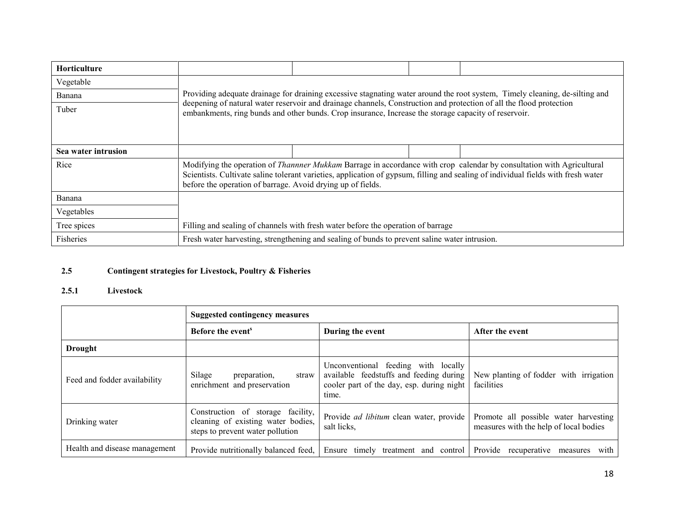| <b>Horticulture</b> |                                                                                                                                                                                                                                                                                                                                  |                                                                                                                                                                                                                             |  |                                                                                                                             |
|---------------------|----------------------------------------------------------------------------------------------------------------------------------------------------------------------------------------------------------------------------------------------------------------------------------------------------------------------------------|-----------------------------------------------------------------------------------------------------------------------------------------------------------------------------------------------------------------------------|--|-----------------------------------------------------------------------------------------------------------------------------|
| Vegetable           |                                                                                                                                                                                                                                                                                                                                  |                                                                                                                                                                                                                             |  |                                                                                                                             |
| Banana              |                                                                                                                                                                                                                                                                                                                                  |                                                                                                                                                                                                                             |  | Providing adequate drainage for draining excessive stagnating water around the root system, Timely cleaning, de-silting and |
| Tuber               |                                                                                                                                                                                                                                                                                                                                  | deepening of natural water reservoir and drainage channels, Construction and protection of all the flood protection<br>embankments, ring bunds and other bunds. Crop insurance, Increase the storage capacity of reservoir. |  |                                                                                                                             |
| Sea water intrusion |                                                                                                                                                                                                                                                                                                                                  |                                                                                                                                                                                                                             |  |                                                                                                                             |
| Rice                | Modifying the operation of <i>Thannner Mukkam</i> Barrage in accordance with crop calendar by consultation with Agricultural<br>Scientists. Cultivate saline tolerant varieties, application of gypsum, filling and sealing of individual fields with fresh water<br>before the operation of barrage. Avoid drying up of fields. |                                                                                                                                                                                                                             |  |                                                                                                                             |
| Banana              |                                                                                                                                                                                                                                                                                                                                  |                                                                                                                                                                                                                             |  |                                                                                                                             |
| Vegetables          |                                                                                                                                                                                                                                                                                                                                  |                                                                                                                                                                                                                             |  |                                                                                                                             |
| Tree spices         | Filling and sealing of channels with fresh water before the operation of barrage                                                                                                                                                                                                                                                 |                                                                                                                                                                                                                             |  |                                                                                                                             |
| Fisheries           |                                                                                                                                                                                                                                                                                                                                  | Fresh water harvesting, strengthening and sealing of bunds to prevent saline water intrusion.                                                                                                                               |  |                                                                                                                             |

#### 2.5Contingent strategies for Livestock, Poultry & Fisheries

#### 2.5.1 Livestock

|                               | <b>Suggested contingency measures</b>                                                                       |                                                                                                                                      |                                                                                 |  |
|-------------------------------|-------------------------------------------------------------------------------------------------------------|--------------------------------------------------------------------------------------------------------------------------------------|---------------------------------------------------------------------------------|--|
|                               | Before the event <sup>s</sup>                                                                               | During the event                                                                                                                     | After the event                                                                 |  |
| <b>Drought</b>                |                                                                                                             |                                                                                                                                      |                                                                                 |  |
| Feed and fodder availability  | Silage<br>preparation,<br>straw<br>enrichment and preservation                                              | Unconventional feeding with locally<br>available feedstuffs and feeding during<br>cooler part of the day, esp. during night<br>time. | New planting of fodder with irrigation<br>facilities                            |  |
| Drinking water                | Construction of storage facility,<br>cleaning of existing water bodies,<br>steps to prevent water pollution | Provide <i>ad libitum</i> clean water, provide<br>salt licks,                                                                        | Promote all possible water harvesting<br>measures with the help of local bodies |  |
| Health and disease management | Provide nutritionally balanced feed,                                                                        | Ensure timely treatment and control                                                                                                  | Provide recuperative<br>with<br>measures                                        |  |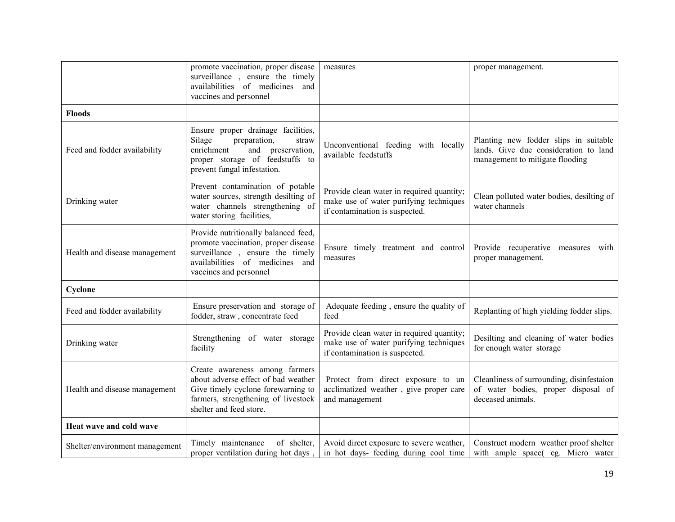|                                | promote vaccination, proper disease<br>surveillance, ensure the timely<br>availabilities of medicines and<br>vaccines and personnel                                           | measures                                                                                                              | proper management.                                                                                                |
|--------------------------------|-------------------------------------------------------------------------------------------------------------------------------------------------------------------------------|-----------------------------------------------------------------------------------------------------------------------|-------------------------------------------------------------------------------------------------------------------|
| <b>Floods</b>                  |                                                                                                                                                                               |                                                                                                                       |                                                                                                                   |
| Feed and fodder availability   | Ensure proper drainage facilities,<br>Silage<br>preparation,<br>straw<br>enrichment<br>and preservation,<br>proper storage of feedstuffs to<br>prevent fungal infestation.    | Unconventional feeding with locally<br>available feedstuffs                                                           | Planting new fodder slips in suitable<br>lands. Give due consideration to land<br>management to mitigate flooding |
| Drinking water                 | Prevent contamination of potable<br>water sources, strength desilting of<br>water channels strengthening of<br>water storing facilities,                                      | Provide clean water in required quantity;<br>make use of water purifying techniques<br>if contamination is suspected. | Clean polluted water bodies, desilting of<br>water channels                                                       |
| Health and disease management  | Provide nutritionally balanced feed,<br>promote vaccination, proper disease<br>surveillance, ensure the timely<br>availabilities of medicines and<br>vaccines and personnel   | Ensure timely treatment and control<br>measures                                                                       | Provide recuperative measures with<br>proper management.                                                          |
| Cyclone                        |                                                                                                                                                                               |                                                                                                                       |                                                                                                                   |
| Feed and fodder availability   | Ensure preservation and storage of<br>fodder, straw, concentrate feed                                                                                                         | Adequate feeding, ensure the quality of<br>feed                                                                       | Replanting of high yielding fodder slips.                                                                         |
| Drinking water                 | Strengthening of water storage<br>facility                                                                                                                                    | Provide clean water in required quantity;<br>make use of water purifying techniques<br>if contamination is suspected. | Desilting and cleaning of water bodies<br>for enough water storage                                                |
| Health and disease management  | Create awareness among farmers<br>about adverse effect of bad weather<br>Give timely cyclone forewarning to<br>farmers, strengthening of livestock<br>shelter and feed store. | Protect from direct exposure to un<br>acclimatized weather, give proper care<br>and management                        | Cleanliness of surrounding, disinfestaion<br>of water bodies, proper disposal of<br>deceased animals.             |
| Heat wave and cold wave        |                                                                                                                                                                               |                                                                                                                       |                                                                                                                   |
| Shelter/environment management | of shelter,<br>Timely maintenance<br>proper ventilation during hot days,                                                                                                      | Avoid direct exposure to severe weather,<br>in hot days- feeding during cool time                                     | Construct modern weather proof shelter<br>with ample space(eg. Micro water                                        |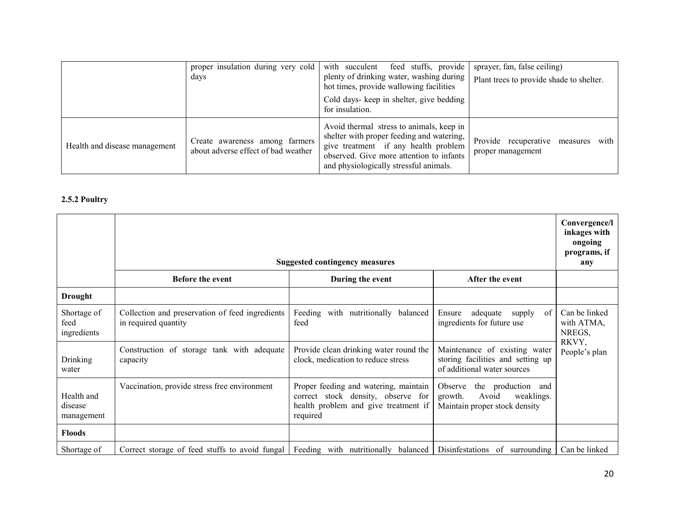|                               | proper insulation during very cold<br>days                            | feed stuffs, provide<br>with succulent<br>plenty of drinking water, washing during<br>hot times, provide wallowing facilities<br>Cold days- keep in shelter, give bedding<br>for insulation.                        | sprayer, fan, false ceiling)<br>Plant trees to provide shade to shelter. |
|-------------------------------|-----------------------------------------------------------------------|---------------------------------------------------------------------------------------------------------------------------------------------------------------------------------------------------------------------|--------------------------------------------------------------------------|
| Health and disease management | Create awareness among farmers<br>about adverse effect of bad weather | Avoid thermal stress to animals, keep in<br>shelter with proper feeding and watering,<br>give treatment if any health problem<br>observed. Give more attention to infants<br>and physiologically stressful animals. | Provide recuperative measures<br>with<br>proper management               |

## 2.5.2 Poultry

|                                     | <b>Suggested contingency measures</b>                                   |                                                                                                                                 |                                                                                                   | Convergence/l<br>inkages with<br>ongoing<br>programs, if<br>any |
|-------------------------------------|-------------------------------------------------------------------------|---------------------------------------------------------------------------------------------------------------------------------|---------------------------------------------------------------------------------------------------|-----------------------------------------------------------------|
|                                     | <b>Before the event</b>                                                 | During the event                                                                                                                | After the event                                                                                   |                                                                 |
| <b>Drought</b>                      |                                                                         |                                                                                                                                 |                                                                                                   |                                                                 |
| Shortage of<br>feed<br>ingredients  | Collection and preservation of feed ingredients<br>in required quantity | Feeding with nutritionally balanced<br>feed                                                                                     | adequate<br>Ensure<br>of<br>supply<br>ingredients for future use                                  | Can be linked<br>with ATMA,<br>NREGS,                           |
| Drinking<br>water                   | Construction of storage tank with adequate<br>capacity                  | Provide clean drinking water round the<br>clock, medication to reduce stress                                                    | Maintenance of existing water<br>storing facilities and setting up<br>of additional water sources | RKVY,<br>People's plan                                          |
| Health and<br>disease<br>management | Vaccination, provide stress free environment                            | Proper feeding and watering, maintain<br>correct stock density, observe for<br>health problem and give treatment if<br>required | Observe<br>the production and<br>growth.<br>Avoid<br>weaklings.<br>Maintain proper stock density  |                                                                 |
| <b>Floods</b>                       |                                                                         |                                                                                                                                 |                                                                                                   |                                                                 |
| Shortage of                         | Correct storage of feed stuffs to avoid fungal                          | Feeding with nutritionally balanced                                                                                             | Disinfestations of surrounding                                                                    | Can be linked                                                   |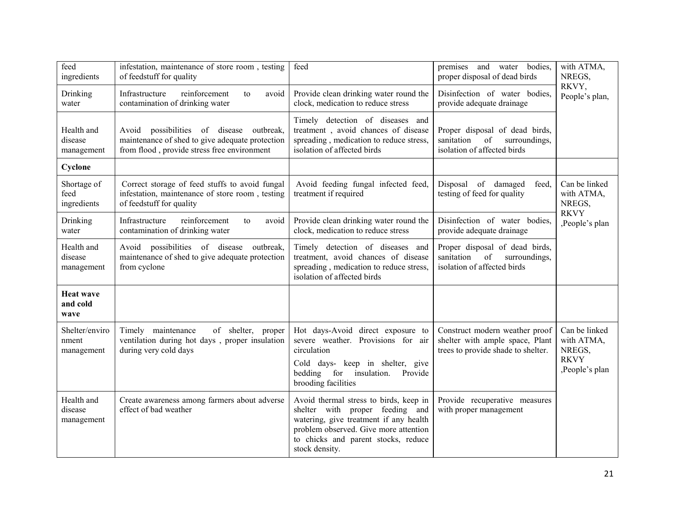| feed<br>ingredients                   | infestation, maintenance of store room, testing<br>of feedstuff for quality                                                                | feed                                                                                                                                                                                                                  | bodies,<br>premises and water<br>proper disposal of dead birds                                          | with ATMA,<br>NREGS,                                                   |
|---------------------------------------|--------------------------------------------------------------------------------------------------------------------------------------------|-----------------------------------------------------------------------------------------------------------------------------------------------------------------------------------------------------------------------|---------------------------------------------------------------------------------------------------------|------------------------------------------------------------------------|
| Drinking<br>water                     | Infrastructure<br>reinforcement<br>avoid<br>to<br>contamination of drinking water                                                          | Provide clean drinking water round the<br>clock, medication to reduce stress                                                                                                                                          | Disinfection of water bodies,<br>provide adequate drainage                                              | RKVY,<br>People's plan,                                                |
| Health and<br>disease<br>management   | Avoid possibilities of disease outbreak,<br>maintenance of shed to give adequate protection<br>from flood, provide stress free environment | Timely detection of diseases and<br>treatment, avoid chances of disease<br>spreading, medication to reduce stress,<br>isolation of affected birds                                                                     | Proper disposal of dead birds,<br>of<br>sanitation<br>surroundings,<br>isolation of affected birds      |                                                                        |
| Cyclone                               |                                                                                                                                            |                                                                                                                                                                                                                       |                                                                                                         |                                                                        |
| Shortage of<br>feed<br>ingredients    | Correct storage of feed stuffs to avoid fungal<br>infestation, maintenance of store room, testing<br>of feedstuff for quality              | Avoid feeding fungal infected feed,<br>treatment if required                                                                                                                                                          | Disposal of damaged<br>feed.<br>testing of feed for quality                                             | Can be linked<br>with ATMA,<br>NREGS,                                  |
| Drinking<br>water                     | reinforcement<br>Infrastructure<br>avoid<br>to<br>contamination of drinking water                                                          | Provide clean drinking water round the<br>clock, medication to reduce stress                                                                                                                                          | Disinfection of water bodies,<br>provide adequate drainage                                              | <b>RKVY</b><br>,People's plan                                          |
| Health and<br>disease<br>management   | Avoid possibilities of disease<br>outbreak,<br>maintenance of shed to give adequate protection<br>from cyclone                             | Timely detection of diseases and<br>treatment, avoid chances of disease<br>spreading, medication to reduce stress,<br>isolation of affected birds                                                                     | Proper disposal of dead birds,<br>sanitation<br>of<br>surroundings,<br>isolation of affected birds      |                                                                        |
| <b>Heat wave</b><br>and cold<br>wave  |                                                                                                                                            |                                                                                                                                                                                                                       |                                                                                                         |                                                                        |
| Shelter/enviro<br>nment<br>management | Timely maintenance<br>of shelter, proper<br>ventilation during hot days, proper insulation<br>during very cold days                        | Hot days-Avoid direct exposure to<br>severe weather. Provisions for air<br>circulation<br>Cold days- keep in shelter, give<br>bedding for insulation.<br>Provide<br>brooding facilities                               | Construct modern weather proof<br>shelter with ample space, Plant<br>trees to provide shade to shelter. | Can be linked<br>with ATMA,<br>NREGS,<br><b>RKVY</b><br>,People's plan |
| Health and<br>disease<br>management   | Create awareness among farmers about adverse<br>effect of bad weather                                                                      | Avoid thermal stress to birds, keep in<br>shelter with proper feeding and<br>watering, give treatment if any health<br>problem observed. Give more attention<br>to chicks and parent stocks, reduce<br>stock density. | Provide recuperative measures<br>with proper management                                                 |                                                                        |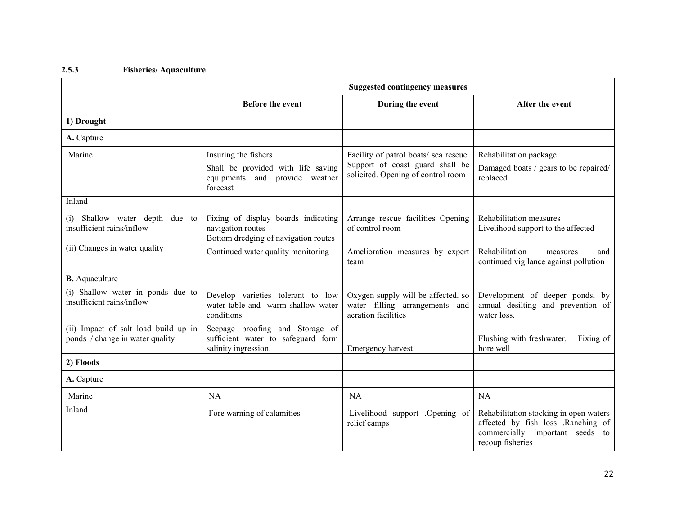#### 2.5.3 Fisheries/ Aquaculture

|                                                                         | <b>Suggested contingency measures</b>                                                                    |                                                                                                                |                                                                                                                                     |
|-------------------------------------------------------------------------|----------------------------------------------------------------------------------------------------------|----------------------------------------------------------------------------------------------------------------|-------------------------------------------------------------------------------------------------------------------------------------|
|                                                                         | <b>Before the event</b>                                                                                  | During the event                                                                                               | After the event                                                                                                                     |
| 1) Drought                                                              |                                                                                                          |                                                                                                                |                                                                                                                                     |
| A. Capture                                                              |                                                                                                          |                                                                                                                |                                                                                                                                     |
| Marine                                                                  | Insuring the fishers<br>Shall be provided with life saving<br>equipments and provide weather<br>forecast | Facility of patrol boats/ sea rescue.<br>Support of coast guard shall be<br>solicited. Opening of control room | Rehabilitation package<br>Damaged boats / gears to be repaired/<br>replaced                                                         |
| Inland                                                                  |                                                                                                          |                                                                                                                |                                                                                                                                     |
| (i) Shallow water depth<br>due to<br>insufficient rains/inflow          | Fixing of display boards indicating<br>navigation routes<br>Bottom dredging of navigation routes         | Arrange rescue facilities Opening<br>of control room                                                           | Rehabilitation measures<br>Livelihood support to the affected                                                                       |
| (ii) Changes in water quality                                           | Continued water quality monitoring                                                                       | Amelioration measures by expert<br>team                                                                        | Rehabilitation<br>and<br>measures<br>continued vigilance against pollution                                                          |
| <b>B.</b> Aquaculture                                                   |                                                                                                          |                                                                                                                |                                                                                                                                     |
| (i) Shallow water in ponds due to<br>insufficient rains/inflow          | Develop varieties tolerant to low<br>water table and warm shallow water<br>conditions                    | Oxygen supply will be affected. so<br>water filling arrangements and<br>aeration facilities                    | Development of deeper ponds, by<br>annual desilting and prevention of<br>water loss.                                                |
| (ii) Impact of salt load build up in<br>ponds / change in water quality | Seepage proofing and Storage of<br>sufficient water to safeguard form<br>salinity ingression.            | Emergency harvest                                                                                              | Flushing with freshwater.<br>Fixing of<br>bore well                                                                                 |
| 2) Floods                                                               |                                                                                                          |                                                                                                                |                                                                                                                                     |
| A. Capture                                                              |                                                                                                          |                                                                                                                |                                                                                                                                     |
| Marine                                                                  | NA                                                                                                       | <b>NA</b>                                                                                                      | NA                                                                                                                                  |
| Inland                                                                  | Fore warning of calamities                                                                               | Livelihood support .Opening of<br>relief camps                                                                 | Rehabilitation stocking in open waters<br>affected by fish loss .Ranching of<br>commercially important seeds to<br>recoup fisheries |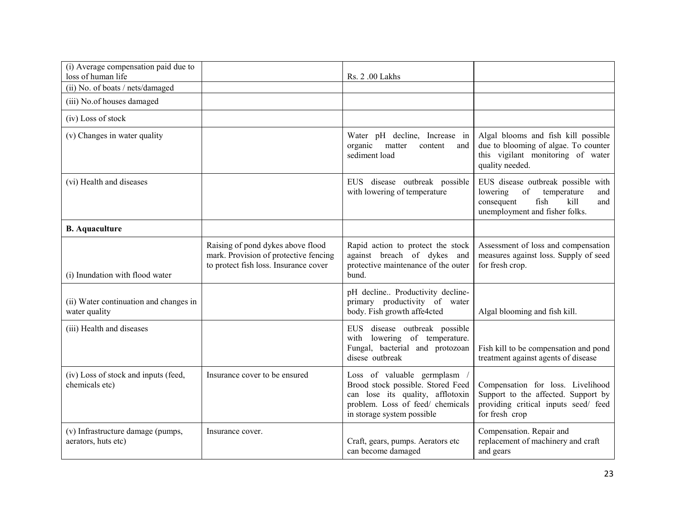| (i) Average compensation paid due to<br>loss of human life |                                                                                                                     | Rs. 2 .00 Lakhs                                                                                                                                                       |                                                                                                                                                                                                                                                   |
|------------------------------------------------------------|---------------------------------------------------------------------------------------------------------------------|-----------------------------------------------------------------------------------------------------------------------------------------------------------------------|---------------------------------------------------------------------------------------------------------------------------------------------------------------------------------------------------------------------------------------------------|
| (ii) No. of boats / nets/damaged                           |                                                                                                                     |                                                                                                                                                                       |                                                                                                                                                                                                                                                   |
| (iii) No.of houses damaged                                 |                                                                                                                     |                                                                                                                                                                       |                                                                                                                                                                                                                                                   |
| (iv) Loss of stock                                         |                                                                                                                     |                                                                                                                                                                       |                                                                                                                                                                                                                                                   |
| (v) Changes in water quality                               |                                                                                                                     | Water pH decline, Increase in<br>organic<br>matter<br>content<br>and<br>sediment load                                                                                 | Algal blooms and fish kill possible<br>due to blooming of algae. To counter<br>this vigilant monitoring of water<br>quality needed.                                                                                                               |
| (vi) Health and diseases                                   |                                                                                                                     | EUS disease outbreak possible<br>with lowering of temperature                                                                                                         | EUS disease outbreak possible with<br>$% \left( \left( \mathcal{A},\mathcal{A}\right) \right) =\left( \mathcal{A},\mathcal{A}\right)$ of<br>lowering<br>temperature<br>and<br>fish<br>consequent<br>kill<br>and<br>unemployment and fisher folks. |
| <b>B.</b> Aquaculture                                      |                                                                                                                     |                                                                                                                                                                       |                                                                                                                                                                                                                                                   |
| (i) Inundation with flood water                            | Raising of pond dykes above flood<br>mark. Provision of protective fencing<br>to protect fish loss. Insurance cover | Rapid action to protect the stock<br>against breach of dykes and<br>protective maintenance of the outer<br>bund.                                                      | Assessment of loss and compensation<br>measures against loss. Supply of seed<br>for fresh crop.                                                                                                                                                   |
| (ii) Water continuation and changes in<br>water quality    |                                                                                                                     | pH decline Productivity decline-<br>primary productivity of water<br>body. Fish growth affe4cted                                                                      | Algal blooming and fish kill.                                                                                                                                                                                                                     |
| (iii) Health and diseases                                  |                                                                                                                     | EUS disease outbreak possible<br>with lowering of temperature.<br>Fungal, bacterial and protozoan<br>disese outbreak                                                  | Fish kill to be compensation and pond<br>treatment against agents of disease                                                                                                                                                                      |
| (iv) Loss of stock and inputs (feed,<br>chemicals etc)     | Insurance cover to be ensured                                                                                       | Loss of valuable germplasm<br>Brood stock possible. Stored Feed<br>can lose its quality, afflotoxin<br>problem. Loss of feed/ chemicals<br>in storage system possible | Compensation for loss. Livelihood<br>Support to the affected. Support by<br>providing critical inputs seed/ feed<br>for fresh crop                                                                                                                |
| (v) Infrastructure damage (pumps,<br>aerators, huts etc)   | Insurance cover.                                                                                                    | Craft, gears, pumps. Aerators etc<br>can become damaged                                                                                                               | Compensation. Repair and<br>replacement of machinery and craft<br>and gears                                                                                                                                                                       |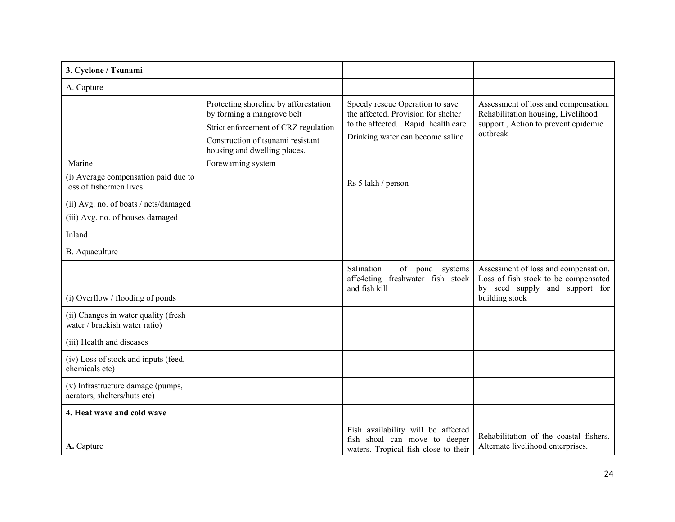| 3. Cyclone / Tsunami                                                  |                                                                                                                                                                                                        |                                                                                                                                                    |                                                                                                                                  |
|-----------------------------------------------------------------------|--------------------------------------------------------------------------------------------------------------------------------------------------------------------------------------------------------|----------------------------------------------------------------------------------------------------------------------------------------------------|----------------------------------------------------------------------------------------------------------------------------------|
| A. Capture                                                            |                                                                                                                                                                                                        |                                                                                                                                                    |                                                                                                                                  |
| Marine                                                                | Protecting shoreline by afforestation<br>by forming a mangrove belt<br>Strict enforcement of CRZ regulation<br>Construction of tsunami resistant<br>housing and dwelling places.<br>Forewarning system | Speedy rescue Operation to save<br>the affected. Provision for shelter<br>to the affected. . Rapid health care<br>Drinking water can become saline | Assessment of loss and compensation.<br>Rehabilitation housing, Livelihood<br>support, Action to prevent epidemic<br>outbreak    |
| (i) Average compensation paid due to<br>loss of fishermen lives       |                                                                                                                                                                                                        | Rs 5 lakh / person                                                                                                                                 |                                                                                                                                  |
| (ii) Avg. no. of boats / nets/damaged                                 |                                                                                                                                                                                                        |                                                                                                                                                    |                                                                                                                                  |
| (iii) Avg. no. of houses damaged                                      |                                                                                                                                                                                                        |                                                                                                                                                    |                                                                                                                                  |
| Inland                                                                |                                                                                                                                                                                                        |                                                                                                                                                    |                                                                                                                                  |
| B. Aquaculture                                                        |                                                                                                                                                                                                        |                                                                                                                                                    |                                                                                                                                  |
| $(i)$ Overflow / flooding of ponds                                    |                                                                                                                                                                                                        | of pond systems<br>Salination<br>affe4cting freshwater fish stock<br>and fish kill                                                                 | Assessment of loss and compensation.<br>Loss of fish stock to be compensated<br>by seed supply and support for<br>building stock |
| (ii) Changes in water quality (fresh<br>water / brackish water ratio) |                                                                                                                                                                                                        |                                                                                                                                                    |                                                                                                                                  |
| (iii) Health and diseases                                             |                                                                                                                                                                                                        |                                                                                                                                                    |                                                                                                                                  |
| (iv) Loss of stock and inputs (feed,<br>chemicals etc)                |                                                                                                                                                                                                        |                                                                                                                                                    |                                                                                                                                  |
| (v) Infrastructure damage (pumps,<br>aerators, shelters/huts etc)     |                                                                                                                                                                                                        |                                                                                                                                                    |                                                                                                                                  |
| 4. Heat wave and cold wave                                            |                                                                                                                                                                                                        |                                                                                                                                                    |                                                                                                                                  |
| A. Capture                                                            |                                                                                                                                                                                                        | Fish availability will be affected<br>fish shoal can move to deeper<br>waters. Tropical fish close to their                                        | Rehabilitation of the coastal fishers.<br>Alternate livelihood enterprises.                                                      |